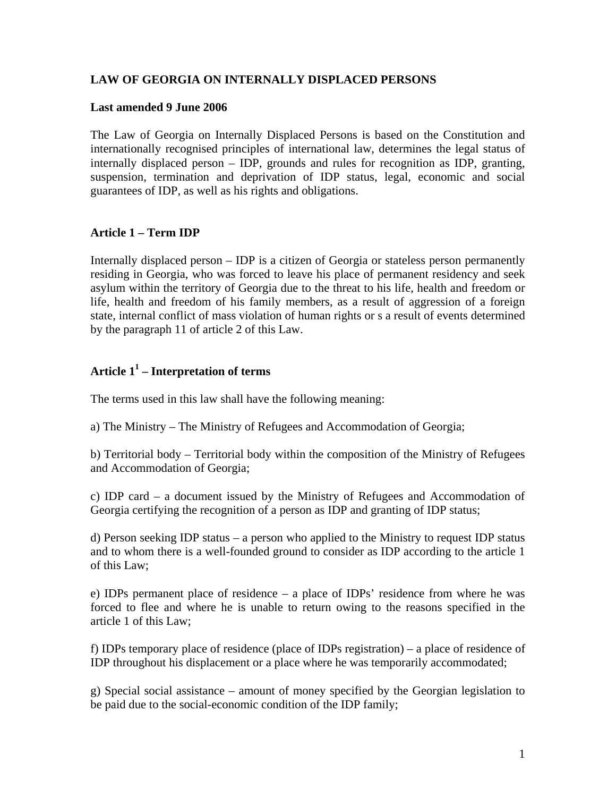## **LAW OF GEORGIA ON INTERNALLY DISPLACED PERSONS**

## **Last amended 9 June 2006**

The Law of Georgia on Internally Displaced Persons is based on the Constitution and internationally recognised principles of international law, determines the legal status of internally displaced person – IDP, grounds and rules for recognition as IDP, granting, suspension, termination and deprivation of IDP status, legal, economic and social guarantees of IDP, as well as his rights and obligations.

## **Article 1 – Term IDP**

Internally displaced person – IDP is a citizen of Georgia or stateless person permanently residing in Georgia, who was forced to leave his place of permanent residency and seek asylum within the territory of Georgia due to the threat to his life, health and freedom or life, health and freedom of his family members, as a result of aggression of a foreign state, internal conflict of mass violation of human rights or s a result of events determined by the paragraph 11 of article 2 of this Law.

## **Article 11 – Interpretation of terms**

The terms used in this law shall have the following meaning:

a) The Ministry – The Ministry of Refugees and Accommodation of Georgia;

b) Territorial body – Territorial body within the composition of the Ministry of Refugees and Accommodation of Georgia;

c) IDP card – a document issued by the Ministry of Refugees and Accommodation of Georgia certifying the recognition of a person as IDP and granting of IDP status;

d) Person seeking IDP status – a person who applied to the Ministry to request IDP status and to whom there is a well-founded ground to consider as IDP according to the article 1 of this Law;

e) IDPs permanent place of residence – a place of IDPs' residence from where he was forced to flee and where he is unable to return owing to the reasons specified in the article 1 of this Law;

f) IDPs temporary place of residence (place of IDPs registration) – a place of residence of IDP throughout his displacement or a place where he was temporarily accommodated;

g) Special social assistance – amount of money specified by the Georgian legislation to be paid due to the social-economic condition of the IDP family;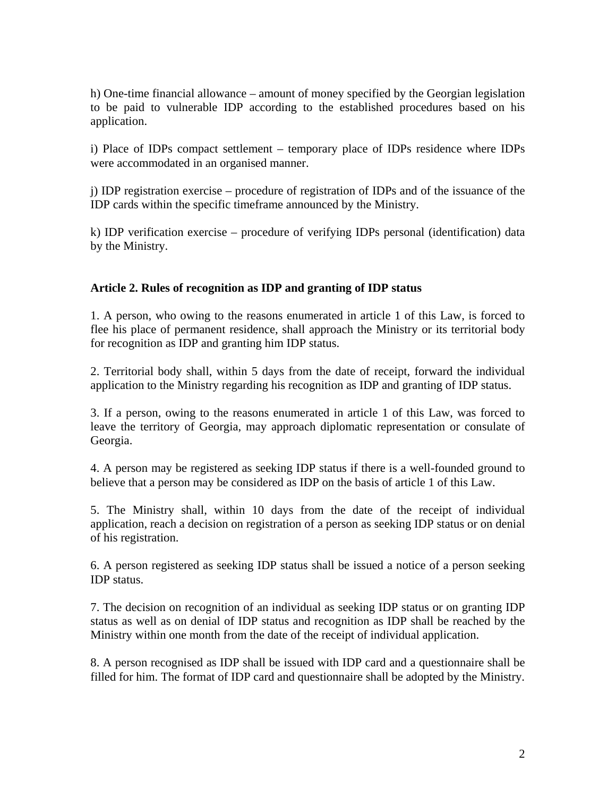h) One-time financial allowance – amount of money specified by the Georgian legislation to be paid to vulnerable IDP according to the established procedures based on his application.

i) Place of IDPs compact settlement – temporary place of IDPs residence where IDPs were accommodated in an organised manner.

j) IDP registration exercise – procedure of registration of IDPs and of the issuance of the IDP cards within the specific timeframe announced by the Ministry.

k) IDP verification exercise – procedure of verifying IDPs personal (identification) data by the Ministry.

## **Article 2. Rules of recognition as IDP and granting of IDP status**

1. A person, who owing to the reasons enumerated in article 1 of this Law, is forced to flee his place of permanent residence, shall approach the Ministry or its territorial body for recognition as IDP and granting him IDP status.

2. Territorial body shall, within 5 days from the date of receipt, forward the individual application to the Ministry regarding his recognition as IDP and granting of IDP status.

3. If a person, owing to the reasons enumerated in article 1 of this Law, was forced to leave the territory of Georgia, may approach diplomatic representation or consulate of Georgia.

4. A person may be registered as seeking IDP status if there is a well-founded ground to believe that a person may be considered as IDP on the basis of article 1 of this Law.

5. The Ministry shall, within 10 days from the date of the receipt of individual application, reach a decision on registration of a person as seeking IDP status or on denial of his registration.

6. A person registered as seeking IDP status shall be issued a notice of a person seeking IDP status.

7. The decision on recognition of an individual as seeking IDP status or on granting IDP status as well as on denial of IDP status and recognition as IDP shall be reached by the Ministry within one month from the date of the receipt of individual application.

8. A person recognised as IDP shall be issued with IDP card and a questionnaire shall be filled for him. The format of IDP card and questionnaire shall be adopted by the Ministry.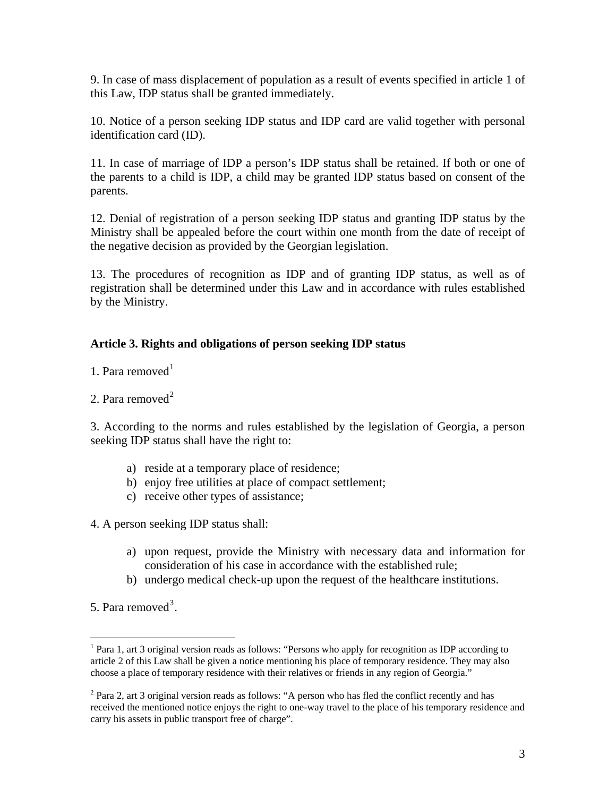9. In case of mass displacement of population as a result of events specified in article 1 of this Law, IDP status shall be granted immediately.

10. Notice of a person seeking IDP status and IDP card are valid together with personal identification card (ID).

11. In case of marriage of IDP a person's IDP status shall be retained. If both or one of the parents to a child is IDP, a child may be granted IDP status based on consent of the parents.

12. Denial of registration of a person seeking IDP status and granting IDP status by the Ministry shall be appealed before the court within one month from the date of receipt of the negative decision as provided by the Georgian legislation.

13. The procedures of recognition as IDP and of granting IDP status, as well as of registration shall be determined under this Law and in accordance with rules established by the Ministry.

## **Article 3. Rights and obligations of person seeking IDP status**

[1](#page-2-0). Para removed $<sup>1</sup>$ </sup>

[2](#page-2-1). Para removed $<sup>2</sup>$ </sup>

3. According to the norms and rules established by the legislation of Georgia, a person seeking IDP status shall have the right to:

- a) reside at a temporary place of residence;
- b) enjoy free utilities at place of compact settlement;
- c) receive other types of assistance;

<span id="page-2-2"></span>4. A person seeking IDP status shall:

- a) upon request, provide the Ministry with necessary data and information for consideration of his case in accordance with the established rule;
- b) undergo medical check-up upon the request of the healthcare institutions.

5. Para removed<sup>[3](#page-2-2)</sup>.

<span id="page-2-0"></span> $\overline{a}$ <sup>1</sup> Para 1, art 3 original version reads as follows: "Persons who apply for recognition as IDP according to article 2 of this Law shall be given a notice mentioning his place of temporary residence. They may also choose a place of temporary residence with their relatives or friends in any region of Georgia."

<span id="page-2-1"></span> $2$  Para 2, art 3 original version reads as follows: "A person who has fled the conflict recently and has received the mentioned notice enjoys the right to one-way travel to the place of his temporary residence and carry his assets in public transport free of charge".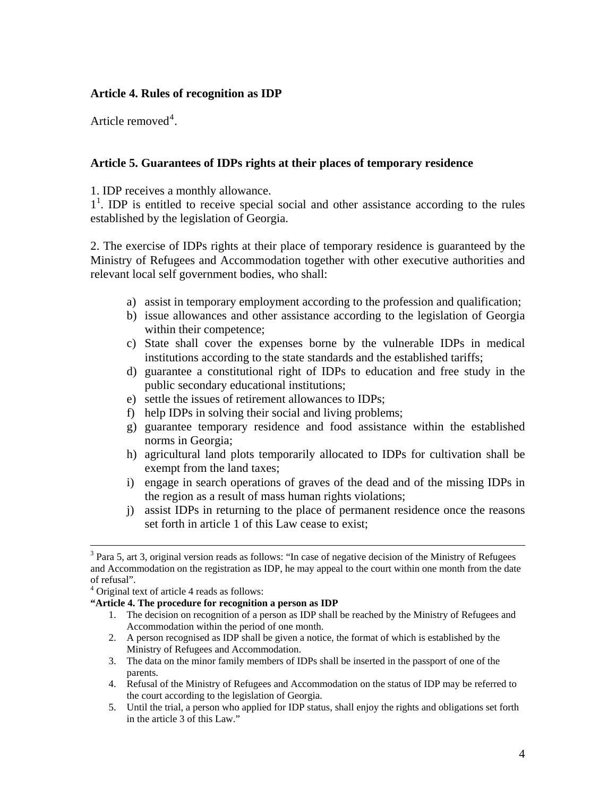## **Article 4. Rules of recognition as IDP**

Article removed<sup>[4](#page-3-0)</sup>.

## **Article 5. Guarantees of IDPs rights at their places of temporary residence**

1. IDP receives a monthly allowance.

 $1<sup>1</sup>$ . IDP is entitled to receive special social and other assistance according to the rules established by the legislation of Georgia.

2. The exercise of IDPs rights at their place of temporary residence is guaranteed by the Ministry of Refugees and Accommodation together with other executive authorities and relevant local self government bodies, who shall:

- a) assist in temporary employment according to the profession and qualification;
- b) issue allowances and other assistance according to the legislation of Georgia within their competence;
- c) State shall cover the expenses borne by the vulnerable IDPs in medical institutions according to the state standards and the established tariffs;
- d) guarantee a constitutional right of IDPs to education and free study in the public secondary educational institutions;
- e) settle the issues of retirement allowances to IDPs;
- f) help IDPs in solving their social and living problems;
- g) guarantee temporary residence and food assistance within the established norms in Georgia;
- h) agricultural land plots temporarily allocated to IDPs for cultivation shall be exempt from the land taxes;
- i) engage in search operations of graves of the dead and of the missing IDPs in the region as a result of mass human rights violations;
- j) assist IDPs in returning to the place of permanent residence once the reasons set forth in article 1 of this Law cease to exist;

#### <span id="page-3-0"></span>**"Article 4. The procedure for recognition a person as IDP**

- 1. The decision on recognition of a person as IDP shall be reached by the Ministry of Refugees and Accommodation within the period of one month.
- 2. A person recognised as IDP shall be given a notice, the format of which is established by the Ministry of Refugees and Accommodation.
- 3. The data on the minor family members of IDPs shall be inserted in the passport of one of the parents.
- 4. Refusal of the Ministry of Refugees and Accommodation on the status of IDP may be referred to the court according to the legislation of Georgia.
- 5. Until the trial, a person who applied for IDP status, shall enjoy the rights and obligations set forth in the article 3 of this Law."

<sup>&</sup>lt;sup>2</sup><br>3  $3$  Para 5, art 3, original version reads as follows: "In case of negative decision of the Ministry of Refugees and Accommodation on the registration as IDP, he may appeal to the court within one month from the date of refusal".

<sup>4</sup> Original text of article 4 reads as follows: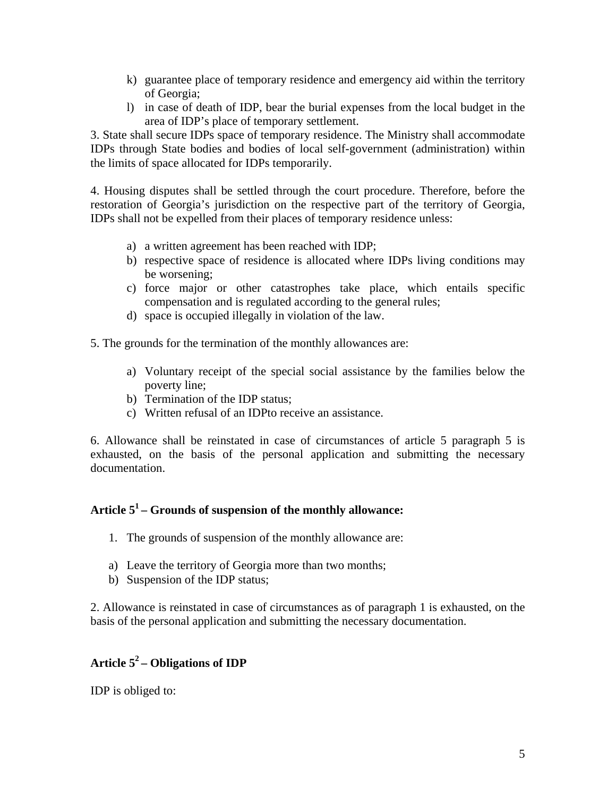- k) guarantee place of temporary residence and emergency aid within the territory of Georgia;
- l) in case of death of IDP, bear the burial expenses from the local budget in the area of IDP's place of temporary settlement.

3. State shall secure IDPs space of temporary residence. The Ministry shall accommodate IDPs through State bodies and bodies of local self-government (administration) within the limits of space allocated for IDPs temporarily.

4. Housing disputes shall be settled through the court procedure. Therefore, before the restoration of Georgia's jurisdiction on the respective part of the territory of Georgia, IDPs shall not be expelled from their places of temporary residence unless:

- a) a written agreement has been reached with IDP;
- b) respective space of residence is allocated where IDPs living conditions may be worsening;
- c) force major or other catastrophes take place, which entails specific compensation and is regulated according to the general rules;
- d) space is occupied illegally in violation of the law.

5. The grounds for the termination of the monthly allowances are:

- a) Voluntary receipt of the special social assistance by the families below the poverty line;
- b) Termination of the IDP status;
- c) Written refusal of an IDPto receive an assistance.

6. Allowance shall be reinstated in case of circumstances of article 5 paragraph 5 is exhausted, on the basis of the personal application and submitting the necessary documentation.

## **Article 51 – Grounds of suspension of the monthly allowance:**

- 1. The grounds of suspension of the monthly allowance are:
- a) Leave the territory of Georgia more than two months;
- b) Suspension of the IDP status;

2. Allowance is reinstated in case of circumstances as of paragraph 1 is exhausted, on the basis of the personal application and submitting the necessary documentation.

# **Article 52 – Obligations of IDP**

IDP is obliged to: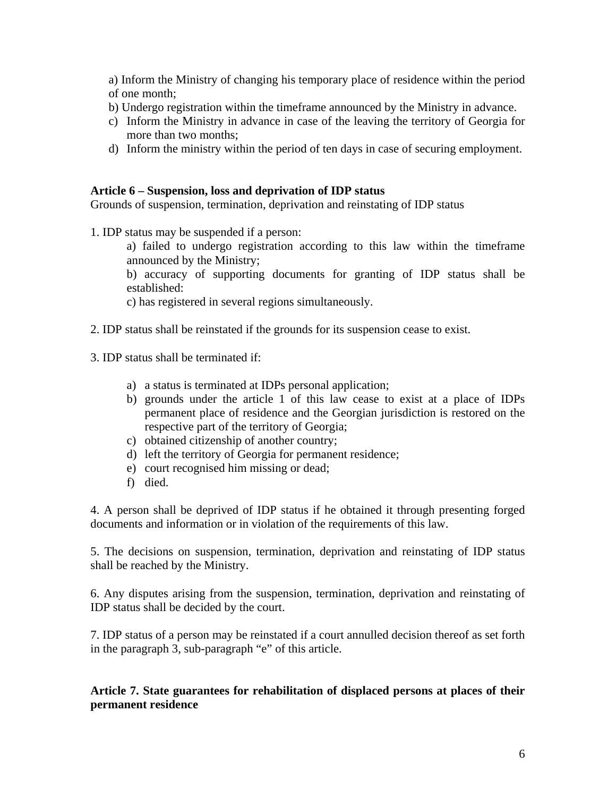a) Inform the Ministry of changing his temporary place of residence within the period of one month;

- b) Undergo registration within the timeframe announced by the Ministry in advance.
- c) Inform the Ministry in advance in case of the leaving the territory of Georgia for more than two months;
- d) Inform the ministry within the period of ten days in case of securing employment.

#### **Article 6 – Suspension, loss and deprivation of IDP status**

Grounds of suspension, termination, deprivation and reinstating of IDP status

1. IDP status may be suspended if a person:

a) failed to undergo registration according to this law within the timeframe announced by the Ministry;

b) accuracy of supporting documents for granting of IDP status shall be established:

c) has registered in several regions simultaneously.

2. IDP status shall be reinstated if the grounds for its suspension cease to exist.

3. IDP status shall be terminated if:

- a) a status is terminated at IDPs personal application;
- b) grounds under the article 1 of this law cease to exist at a place of IDPs permanent place of residence and the Georgian jurisdiction is restored on the respective part of the territory of Georgia;
- c) obtained citizenship of another country;
- d) left the territory of Georgia for permanent residence;
- e) court recognised him missing or dead;
- f) died.

4. A person shall be deprived of IDP status if he obtained it through presenting forged documents and information or in violation of the requirements of this law.

5. The decisions on suspension, termination, deprivation and reinstating of IDP status shall be reached by the Ministry.

6. Any disputes arising from the suspension, termination, deprivation and reinstating of IDP status shall be decided by the court.

7. IDP status of a person may be reinstated if a court annulled decision thereof as set forth in the paragraph 3, sub-paragraph "e" of this article.

## **Article 7. State guarantees for rehabilitation of displaced persons at places of their permanent residence**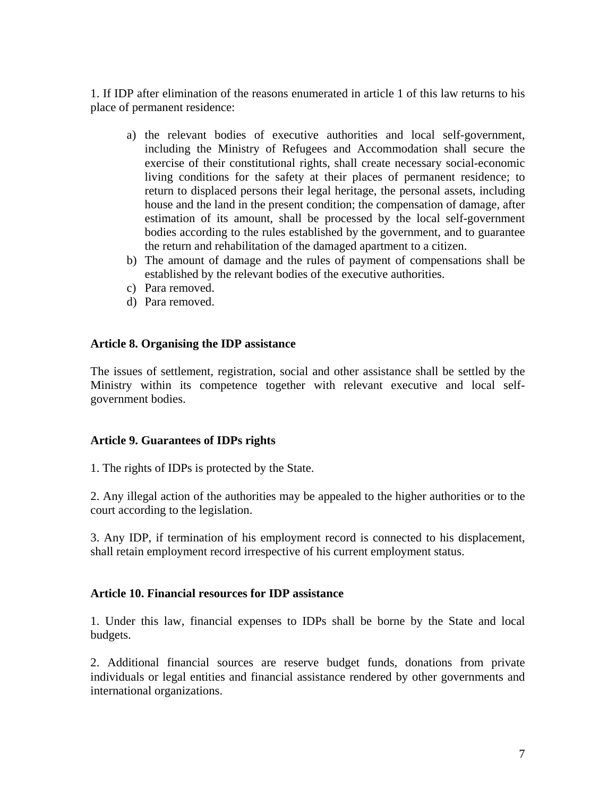1. If IDP after elimination of the reasons enumerated in article 1 of this law returns to his place of permanent residence:

- a) the relevant bodies of executive authorities and local self-government, including the Ministry of Refugees and Accommodation shall secure the exercise of their constitutional rights, shall create necessary social-economic living conditions for the safety at their places of permanent residence; to return to displaced persons their legal heritage, the personal assets, including house and the land in the present condition; the compensation of damage, after estimation of its amount, shall be processed by the local self-government bodies according to the rules established by the government, and to guarantee the return and rehabilitation of the damaged apartment to a citizen.
- b) The amount of damage and the rules of payment of compensations shall be established by the relevant bodies of the executive authorities.
- c) Para removed.
- d) Para removed.

### **Article 8. Organising the IDP assistance**

The issues of settlement, registration, social and other assistance shall be settled by the Ministry within its competence together with relevant executive and local selfgovernment bodies.

### **Article 9. Guarantees of IDPs rights**

1. The rights of IDPs is protected by the State.

2. Any illegal action of the authorities may be appealed to the higher authorities or to the court according to the legislation.

3. Any IDP, if termination of his employment record is connected to his displacement, shall retain employment record irrespective of his current employment status.

### **Article 10. Financial resources for IDP assistance**

1. Under this law, financial expenses to IDPs shall be borne by the State and local budgets.

2. Additional financial sources are reserve budget funds, donations from private individuals or legal entities and financial assistance rendered by other governments and international organizations.